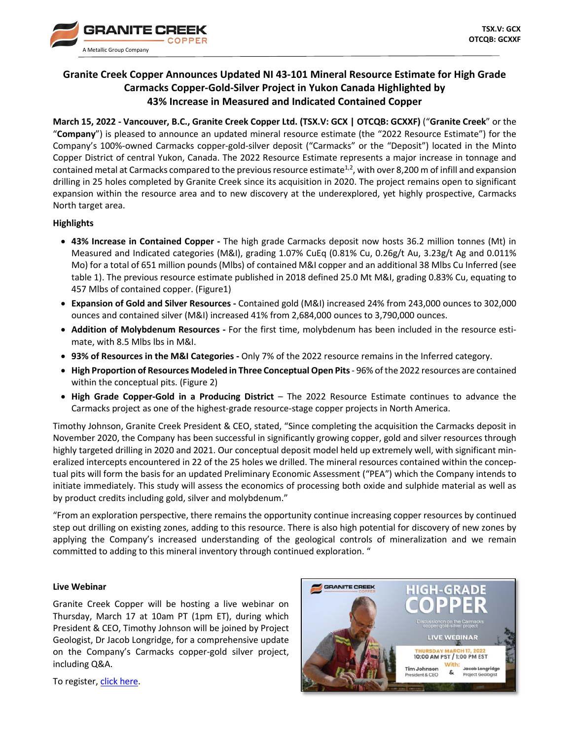

# **Granite Creek Copper Announces Updated NI 43-101 Mineral Resource Estimate for High Grade Carmacks Copper-Gold-Silver Project in Yukon Canada Highlighted by 43% Increase in Measured and Indicated Contained Copper**

**March 15, 2022 - Vancouver, B.C., Granite Creek Copper Ltd. (TSX.V: GCX | OTCQB: GCXXF)** ("**Granite Creek**" or the "**Company**") is pleased to announce an updated mineral resource estimate (the "2022 Resource Estimate") for the Company's 100%-owned Carmacks copper-gold-silver deposit ("Carmacks" or the "Deposit") located in the Minto Copper District of central Yukon, Canada. The 2022 Resource Estimate represents a major increase in tonnage and contained metal at Carmacks compared to the previous resource estimate<sup>1,2</sup>, with over 8,200 m of infill and expansion drilling in 25 holes completed by Granite Creek since its acquisition in 2020. The project remains open to significant expansion within the resource area and to new discovery at the underexplored, yet highly prospective, Carmacks North target area.

# **Highlights**

- **43% Increase in Contained Copper -** The high grade Carmacks deposit now hosts 36.2 million tonnes (Mt) in Measured and Indicated categories (M&I), grading 1.07% CuEq (0.81% Cu, 0.26g/t Au, 3.23g/t Ag and 0.011% Mo) for a total of 651 million pounds (Mlbs) of contained M&I copper and an additional 38 Mlbs Cu Inferred (see table 1). The previous resource estimate published in 2018 defined 25.0 Mt M&I, grading 0.83% Cu, equating to 457 Mlbs of contained copper. (Figure1)
- **Expansion of Gold and Silver Resources -** Contained gold (M&I) increased 24% from 243,000 ounces to 302,000 ounces and contained silver (M&I) increased 41% from 2,684,000 ounces to 3,790,000 ounces.
- **Addition of Molybdenum Resources -** For the first time, molybdenum has been included in the resource estimate, with 8.5 Mlbs lbs in M&I.
- **93% of Resources in the M&I Categories -** Only 7% of the 2022 resource remains in the Inferred category.
- **High Proportion of Resources Modeled in Three Conceptual Open Pits** 96% of the 2022 resources are contained within the conceptual pits. (Figure 2)
- **High Grade Copper-Gold in a Producing District**  The 2022 Resource Estimate continues to advance the Carmacks project as one of the highest-grade resource-stage copper projects in North America.

Timothy Johnson, Granite Creek President & CEO, stated, "Since completing the acquisition the Carmacks deposit in November 2020, the Company has been successful in significantly growing copper, gold and silver resources through highly targeted drilling in 2020 and 2021. Our conceptual deposit model held up extremely well, with significant mineralized intercepts encountered in 22 of the 25 holes we drilled. The mineral resources contained within the conceptual pits will form the basis for an updated Preliminary Economic Assessment ("PEA") which the Company intends to initiate immediately. This study will assess the economics of processing both oxide and sulphide material as well as by product credits including gold, silver and molybdenum."

"From an exploration perspective, there remains the opportunity continue increasing copper resources by continued step out drilling on existing zones, adding to this resource. There is also high potential for discovery of new zones by applying the Company's increased understanding of the geological controls of mineralization and we remain committed to adding to this mineral inventory through continued exploration. "

# **Live Webinar**

Granite Creek Copper will be hosting a live webinar on Thursday, March 17 at 10am PT (1pm ET), during which President & CEO, Timothy Johnson will be joined by Project Geologist, Dr Jacob Longridge, for a comprehensive update on the Company's Carmacks copper-gold silver project, including Q&A.



To register[, click here.](https://us02web.zoom.us/webinar/register/WN_96hjUQgoRDyAjB1HG_xPyg)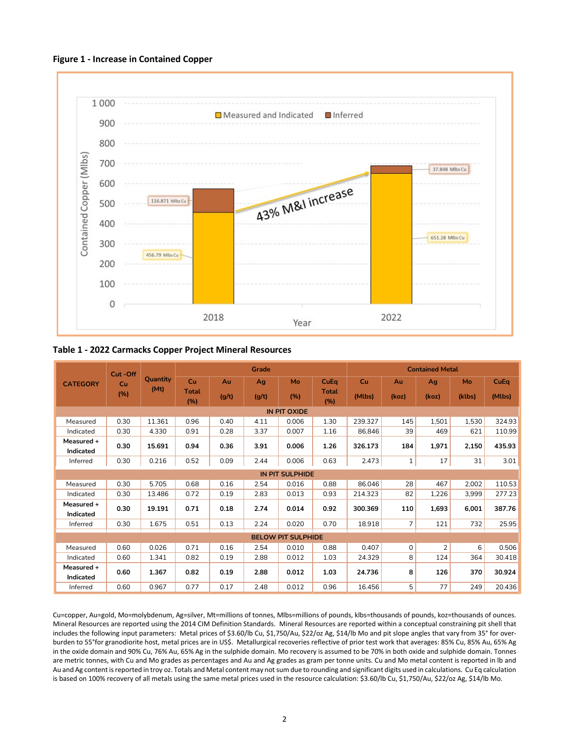



**Table 1 - 2022 Carmacks Copper Project Mineral Resources**

|                           | Cut-Off<br>Cu<br>(%) | <b>Quantity</b><br>(Mt) | Grade        |       |       |       |              | <b>Contained Metal</b> |              |       |        |        |  |
|---------------------------|----------------------|-------------------------|--------------|-------|-------|-------|--------------|------------------------|--------------|-------|--------|--------|--|
| <b>CATEGORY</b>           |                      |                         | <b>Cu</b>    | Au    | Ag    | Mo    | CuEq         | Cu                     | Au           | Ag    | Mo     | CuEq   |  |
|                           |                      |                         | Total<br>(%) | (g/t) | (g/t) | (%)   | Total<br>(%) | (Mlbs)                 | (koz)        | (koz) | (klbs) | (Mlbs) |  |
| IN PIT OXIDE              |                      |                         |              |       |       |       |              |                        |              |       |        |        |  |
| Measured                  | 0.30                 | 11.361                  | 0.96         | 0.40  | 4.11  | 0.006 | 1.30         | 239.327                | 145          | 1.501 | 1,530  | 324.93 |  |
| Indicated                 | 0.30                 | 4.330                   | 0.91         | 0.28  | 3.37  | 0.007 | 1.16         | 86.846                 | 39           | 469   | 621    | 110.99 |  |
| Measured +<br>Indicated   | 0.30                 | 15.691                  | 0.94         | 0.36  | 3.91  | 0.006 | 1.26         | 326.173                | 184          | 1,971 | 2,150  | 435.93 |  |
| Inferred                  | 0.30                 | 0.216                   | 0.52         | 0.09  | 2.44  | 0.006 | 0.63         | 2.473                  | $\mathbf{1}$ | 17    | 31     | 3.01   |  |
| <b>IN PIT SULPHIDE</b>    |                      |                         |              |       |       |       |              |                        |              |       |        |        |  |
| Measured                  | 0.30                 | 5.705                   | 0.68         | 0.16  | 2.54  | 0.016 | 0.88         | 86.046                 | 28           | 467   | 2,002  | 110.53 |  |
| Indicated                 | 0.30                 | 13.486                  | 0.72         | 0.19  | 2.83  | 0.013 | 0.93         | 214.323                | 82           | 1,226 | 3,999  | 277.23 |  |
| Measured +                | 0.30                 | 19.191                  | 0.71         | 0.18  | 2.74  | 0.014 | 0.92         | 300.369                | 110          | 1,693 | 6,001  | 387.76 |  |
| Indicated                 |                      |                         |              |       |       |       |              |                        |              |       |        |        |  |
| Inferred                  | 0.30                 | 1.675                   | 0.51         | 0.13  | 2.24  | 0.020 | 0.70         | 18.918                 | 7            | 121   | 732    | 25.95  |  |
| <b>BELOW PIT SULPHIDE</b> |                      |                         |              |       |       |       |              |                        |              |       |        |        |  |
| Measured                  | 0.60                 | 0.026                   | 0.71         | 0.16  | 2.54  | 0.010 | 0.88         | 0.407                  | $\mathbf 0$  | 2     | 6      | 0.506  |  |
| Indicated                 | 0.60                 | 1.341                   | 0.82         | 0.19  | 2.88  | 0.012 | 1.03         | 24.329                 | 8            | 124   | 364    | 30.418 |  |
| Measured +                | 0.60                 | 1.367                   | 0.82<br>0.19 |       | 2.88  | 0.012 | 1.03         | 24.736                 | 8            | 126   |        |        |  |
| Indicated                 |                      |                         |              |       |       |       |              |                        |              |       | 370    | 30.924 |  |
| Inferred                  | 0.60                 | 0.967                   | 0.77         | 0.17  | 2.48  | 0.012 | 0.96         | 16.456                 | 5            | 77    | 249    | 20.436 |  |

Cu=copper, Au=gold, Mo=molybdenum, Ag=silver, Mt=millions of tonnes, Mlbs=millions of pounds, klbs=thousands of pounds, koz=thousands of ounces. Mineral Resources are reported using the 2014 CIM Definition Standards. Mineral Resources are reported within a conceptual constraining pit shell that includes the following input parameters: Metal prices of \$3.60/lb Cu, \$1,750/Au, \$22/oz Ag, \$14/lb Mo and pit slope angles that vary from 35° for overburden to 55°for granodiorite host, metal prices are in US\$. Metallurgical recoveries reflective of prior test work that averages: 85% Cu, 85% Au, 65% Ag in the oxide domain and 90% Cu, 76% Au, 65% Ag in the sulphide domain. Mo recovery is assumed to be 70% in both oxide and sulphide domain. Tonnes are metric tonnes, with Cu and Mo grades as percentages and Au and Ag grades as gram per tonne units. Cu and Mo metal content is reported in lb and Au and Ag content is reported in troy oz. Totals and Metal content may not sum due to rounding and significant digits used in calculations. Cu Eq calculation is based on 100% recovery of all metals using the same metal prices used in the resource calculation: \$3.60/lb Cu, \$1,750/Au, \$22/oz Ag, \$14/lb Mo.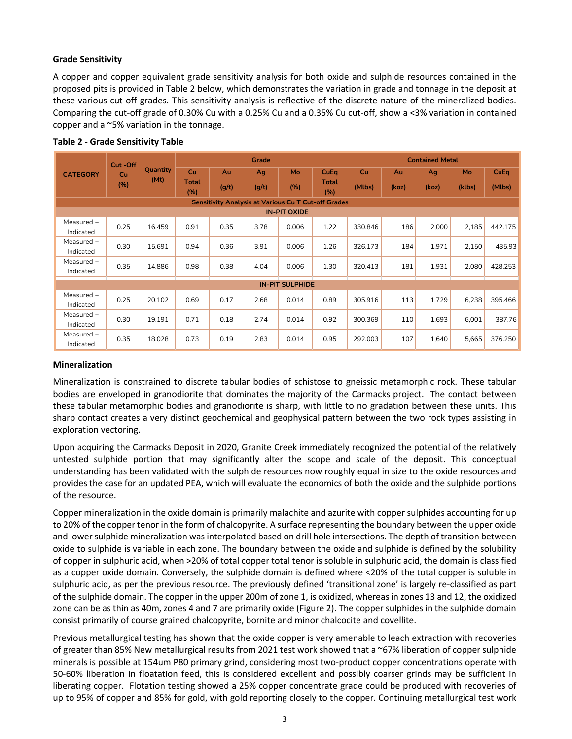# **Grade Sensitivity**

A copper and copper equivalent grade sensitivity analysis for both oxide and sulphide resources contained in the proposed pits is provided in Table 2 below, which demonstrates the variation in grade and tonnage in the deposit at these various cut-off grades. This sensitivity analysis is reflective of the discrete nature of the mineralized bodies. Comparing the cut-off grade of 0.30% Cu with a 0.25% Cu and a 0.35% Cu cut-off, show a <3% variation in contained copper and a ~5% variation in the tonnage.

|                                                            | Cut-Off<br>Cu<br>(%) | <b>Quantity</b><br>(Mt) | Grade               |       |       |       |              | <b>Contained Metal</b> |       |       |        |         |  |
|------------------------------------------------------------|----------------------|-------------------------|---------------------|-------|-------|-------|--------------|------------------------|-------|-------|--------|---------|--|
| <b>CATEGORY</b>                                            |                      |                         | Cu                  | Au    | Ag    | Mo    | CuEq         | Cu                     | Au    | Aq    | Mo     | CuEq    |  |
|                                                            |                      |                         | <b>Total</b><br>(%) | (g/t) | (g/t) | (%)   | Total<br>(%) | (Mlbs)                 | (koz) | (koz) | (klbs) | (Mlbs)  |  |
| <b>Sensitivity Analysis at Various Cu T Cut-off Grades</b> |                      |                         |                     |       |       |       |              |                        |       |       |        |         |  |
| <b>IN-PIT OXIDE</b>                                        |                      |                         |                     |       |       |       |              |                        |       |       |        |         |  |
| Measured +<br>Indicated                                    | 0.25                 | 16.459                  | 0.91                | 0.35  | 3.78  | 0.006 | 1.22         | 330.846                | 186   | 2,000 | 2,185  | 442.175 |  |
| Measured +<br>Indicated                                    | 0.30                 | 15.691                  | 0.94                | 0.36  | 3.91  | 0.006 | 1.26         | 326.173                | 184   | 1,971 | 2,150  | 435.93  |  |
| Measured +<br>Indicated                                    | 0.35                 | 14.886                  | 0.98                | 0.38  | 4.04  | 0.006 | 1.30         | 320.413                | 181   | 1,931 | 2,080  | 428.253 |  |
| <b>IN-PIT SULPHIDE</b>                                     |                      |                         |                     |       |       |       |              |                        |       |       |        |         |  |
| Measured +<br>Indicated                                    | 0.25                 | 20.102                  | 0.69                | 0.17  | 2.68  | 0.014 | 0.89         | 305.916                | 113   | 1.729 | 6,238  | 395.466 |  |
| Measured +<br>Indicated                                    | 0.30                 | 19.191                  | 0.71                | 0.18  | 2.74  | 0.014 | 0.92         | 300.369                | 110   | 1,693 | 6,001  | 387.76  |  |
| Measured +<br>Indicated                                    | 0.35                 | 18.028                  | 0.73                | 0.19  | 2.83  | 0.014 | 0.95         | 292.003                | 107   | 1,640 | 5,665  | 376.250 |  |

### **Table 2 - Grade Sensitivity Table**

# **Mineralization**

Mineralization is constrained to discrete tabular bodies of schistose to gneissic metamorphic rock. These tabular bodies are enveloped in granodiorite that dominates the majority of the Carmacks project. The contact between these tabular metamorphic bodies and granodiorite is sharp, with little to no gradation between these units. This sharp contact creates a very distinct geochemical and geophysical pattern between the two rock types assisting in exploration vectoring.

Upon acquiring the Carmacks Deposit in 2020, Granite Creek immediately recognized the potential of the relatively untested sulphide portion that may significantly alter the scope and scale of the deposit. This conceptual understanding has been validated with the sulphide resources now roughly equal in size to the oxide resources and provides the case for an updated PEA, which will evaluate the economics of both the oxide and the sulphide portions of the resource.

Copper mineralization in the oxide domain is primarily malachite and azurite with copper sulphides accounting for up to 20% of the copper tenor in the form of chalcopyrite. A surface representing the boundary between the upper oxide and lower sulphide mineralization was interpolated based on drill hole intersections. The depth of transition between oxide to sulphide is variable in each zone. The boundary between the oxide and sulphide is defined by the solubility of copper in sulphuric acid, when >20% of total copper total tenor is soluble in sulphuric acid, the domain is classified as a copper oxide domain. Conversely, the sulphide domain is defined where <20% of the total copper is soluble in sulphuric acid, as per the previous resource. The previously defined 'transitional zone' is largely re-classified as part of the sulphide domain. The copper in the upper 200m of zone 1, is oxidized, whereas in zones 13 and 12, the oxidized zone can be as thin as 40m, zones 4 and 7 are primarily oxide (Figure 2). The copper sulphides in the sulphide domain consist primarily of course grained chalcopyrite, bornite and minor chalcocite and covellite.

Previous metallurgical testing has shown that the oxide copper is very amenable to leach extraction with recoveries of greater than 85% New metallurgical results from 2021 test work showed that a ~67% liberation of copper sulphide minerals is possible at 154um P80 primary grind, considering most two-product copper concentrations operate with 50-60% liberation in floatation feed, this is considered excellent and possibly coarser grinds may be sufficient in liberating copper. Flotation testing showed a 25% copper concentrate grade could be produced with recoveries of up to 95% of copper and 85% for gold, with gold reporting closely to the copper. Continuing metallurgical test work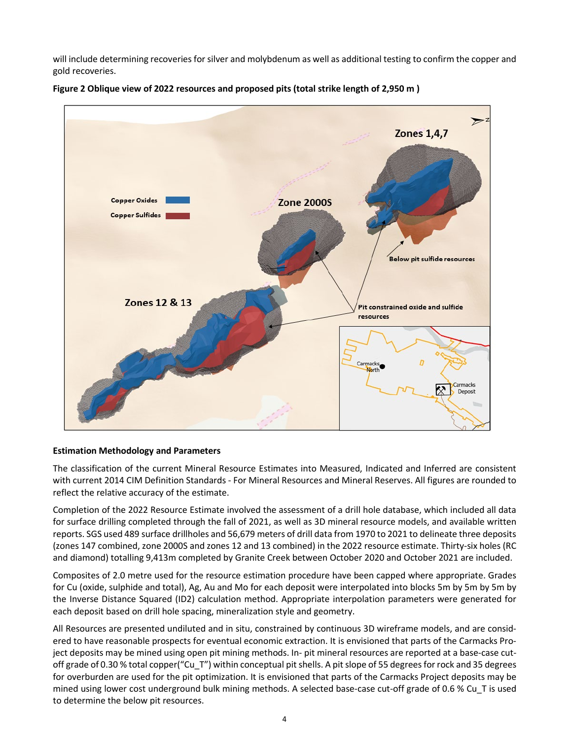will include determining recoveries for silver and molybdenum as well as additional testing to confirm the copper and gold recoveries.



**Figure 2 Oblique view of 2022 resources and proposed pits (total strike length of 2,950 m )**

# **Estimation Methodology and Parameters**

The classification of the current Mineral Resource Estimates into Measured, Indicated and Inferred are consistent with current 2014 CIM Definition Standards - For Mineral Resources and Mineral Reserves. All figures are rounded to reflect the relative accuracy of the estimate.

Completion of the 2022 Resource Estimate involved the assessment of a drill hole database, which included all data for surface drilling completed through the fall of 2021, as well as 3D mineral resource models, and available written reports. SGS used 489 surface drillholes and 56,679 meters of drill data from 1970 to 2021 to delineate three deposits (zones 147 combined, zone 2000S and zones 12 and 13 combined) in the 2022 resource estimate. Thirty-six holes (RC and diamond) totalling 9,413m completed by Granite Creek between October 2020 and October 2021 are included.

Composites of 2.0 metre used for the resource estimation procedure have been capped where appropriate. Grades for Cu (oxide, sulphide and total), Ag, Au and Mo for each deposit were interpolated into blocks 5m by 5m by 5m by the Inverse Distance Squared (ID2) calculation method. Appropriate interpolation parameters were generated for each deposit based on drill hole spacing, mineralization style and geometry.

All Resources are presented undiluted and in situ, constrained by continuous 3D wireframe models, and are considered to have reasonable prospects for eventual economic extraction. It is envisioned that parts of the Carmacks Project deposits may be mined using open pit mining methods. In- pit mineral resources are reported at a base-case cutoff grade of 0.30 % total copper("Cu\_T") within conceptual pit shells. A pit slope of 55 degrees for rock and 35 degrees for overburden are used for the pit optimization. It is envisioned that parts of the Carmacks Project deposits may be mined using lower cost underground bulk mining methods. A selected base-case cut-off grade of 0.6 % Cu\_T is used to determine the below pit resources.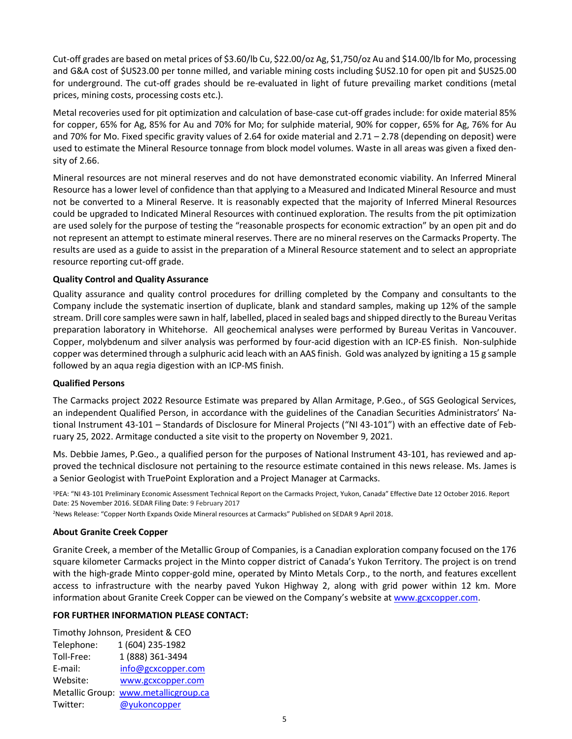Cut-off grades are based on metal prices of \$3.60/lb Cu, \$22.00/oz Ag, \$1,750/oz Au and \$14.00/lb for Mo, processing and G&A cost of \$US23.00 per tonne milled, and variable mining costs including \$US2.10 for open pit and \$US25.00 for underground. The cut-off grades should be re-evaluated in light of future prevailing market conditions (metal prices, mining costs, processing costs etc.).

Metal recoveries used for pit optimization and calculation of base-case cut-off grades include: for oxide material 85% for copper, 65% for Ag, 85% for Au and 70% for Mo; for sulphide material, 90% for copper, 65% for Ag, 76% for Au and 70% for Mo. Fixed specific gravity values of 2.64 for oxide material and  $2.71 - 2.78$  (depending on deposit) were used to estimate the Mineral Resource tonnage from block model volumes. Waste in all areas was given a fixed density of 2.66.

Mineral resources are not mineral reserves and do not have demonstrated economic viability. An Inferred Mineral Resource has a lower level of confidence than that applying to a Measured and Indicated Mineral Resource and must not be converted to a Mineral Reserve. It is reasonably expected that the majority of Inferred Mineral Resources could be upgraded to Indicated Mineral Resources with continued exploration. The results from the pit optimization are used solely for the purpose of testing the "reasonable prospects for economic extraction" by an open pit and do not represent an attempt to estimate mineral reserves. There are no mineral reserves on the Carmacks Property. The results are used as a guide to assist in the preparation of a Mineral Resource statement and to select an appropriate resource reporting cut-off grade.

# **Quality Control and Quality Assurance**

Quality assurance and quality control procedures for drilling completed by the Company and consultants to the Company include the systematic insertion of duplicate, blank and standard samples, making up 12% of the sample stream. Drill core samples were sawn in half, labelled, placed in sealed bags and shipped directly to the Bureau Veritas preparation laboratory in Whitehorse. All geochemical analyses were performed by Bureau Veritas in Vancouver. Copper, molybdenum and silver analysis was performed by four-acid digestion with an ICP-ES finish. Non-sulphide copper was determined through a sulphuric acid leach with an AAS finish. Gold was analyzed by igniting a 15 g sample followed by an aqua regia digestion with an ICP-MS finish.

# **Qualified Persons**

The Carmacks project 2022 Resource Estimate was prepared by Allan Armitage, P.Geo., of SGS Geological Services, an independent Qualified Person, in accordance with the guidelines of the Canadian Securities Administrators' National Instrument 43-101 – Standards of Disclosure for Mineral Projects ("NI 43-101") with an effective date of February 25, 2022. Armitage conducted a site visit to the property on November 9, 2021.

Ms. Debbie James, P.Geo., a qualified person for the purposes of National Instrument 43-101, has reviewed and approved the technical disclosure not pertaining to the resource estimate contained in this news release. Ms. James is a Senior Geologist with TruePoint Exploration and a Project Manager at Carmacks.

1PEA: "NI 43-101 Preliminary Economic Assessment Technical Report on the Carmacks Project, Yukon, Canada" Effective Date 12 October 2016. Report Date: 25 November 2016. SEDAR Filing Date: 9 February 2017

2News Release: "Copper North Expands Oxide Mineral resources at Carmacks" Published on SEDAR 9 April 2018.

# **About Granite Creek Copper**

Granite Creek, a member of the Metallic Group of Companies, is a Canadian exploration company focused on the 176 square kilometer Carmacks project in the Minto copper district of Canada's Yukon Territory. The project is on trend with the high-grade Minto copper-gold mine, operated by Minto Metals Corp., to the north, and features excellent access to infrastructure with the nearby paved Yukon Highway 2, along with grid power within 12 km. More information about Granite Creek Copper can be viewed on the Company's website at [www.gcxcopper.com.](http://www.gcxcopper.com/)

# **FOR FURTHER INFORMATION PLEASE CONTACT:**

| Timothy Johnson, President & CEO |                                      |  |  |  |  |
|----------------------------------|--------------------------------------|--|--|--|--|
| Telephone:                       | 1 (604) 235-1982                     |  |  |  |  |
| Toll-Free:                       | 1 (888) 361-3494                     |  |  |  |  |
| E-mail:                          | info@gcxcopper.com                   |  |  |  |  |
| Website:                         | www.gcxcopper.com                    |  |  |  |  |
|                                  | Metallic Group: www.metallicgroup.ca |  |  |  |  |
| Twitter:                         | @yukoncopper                         |  |  |  |  |
|                                  |                                      |  |  |  |  |